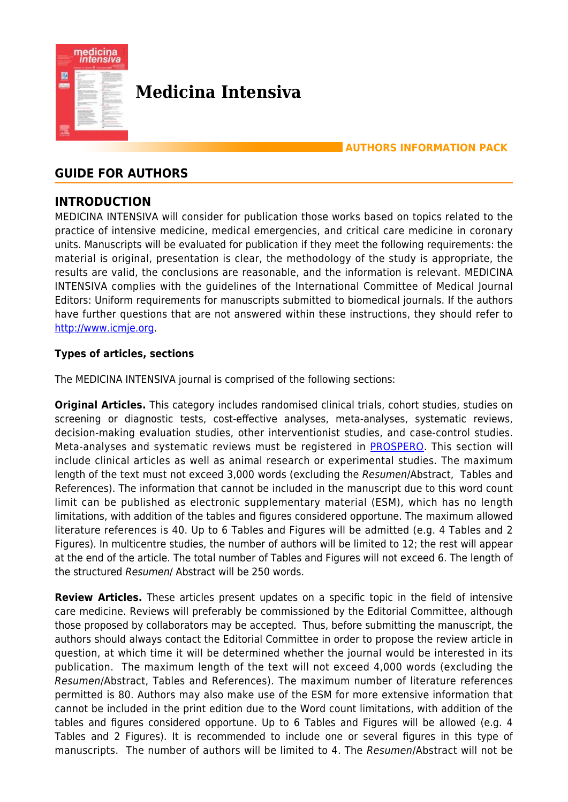

# **Medicina Intensiva**

### **AUTHORS INFORMATION PACK**

## **GUIDE FOR AUTHORS**

## **INTRODUCTION**

MEDICINA INTENSIVA will consider for publication those works based on topics related to the practice of intensive medicine, medical emergencies, and critical care medicine in coronary units. Manuscripts will be evaluated for publication if they meet the following requirements: the material is original, presentation is clear, the methodology of the study is appropriate, the results are valid, the conclusions are reasonable, and the information is relevant. MEDICINA INTENSIVA complies with the guidelines of the International Committee of Medical Journal Editors: Uniform requirements for manuscripts submitted to biomedical journals. If the authors have further questions that are not answered within these instructions, they should refer to <http://www.icmje.org>.

### **Types of articles, sections**

The MEDICINA INTENSIVA journal is comprised of the following sections:

**Original Articles.** This category includes randomised clinical trials, cohort studies, studies on screening or diagnostic tests, cost-effective analyses, meta-analyses, systematic reviews, decision-making evaluation studies, other interventionist studies, and case-control studies. Meta-analyses and systematic reviews must be registered in [PROSPERO](https://www.crd.york.ac.uk/prospero/). This section will include clinical articles as well as animal research or experimental studies. The maximum length of the text must not exceed 3,000 words (excluding the Resumen/Abstract, Tables and References). The information that cannot be included in the manuscript due to this word count limit can be published as electronic supplementary material (ESM), which has no length limitations, with addition of the tables and figures considered opportune. The maximum allowed literature references is 40. Up to 6 Tables and Figures will be admitted (e.g. 4 Tables and 2 Figures). In multicentre studies, the number of authors will be limited to 12; the rest will appear at the end of the article. The total number of Tables and Figures will not exceed 6. The length of the structured Resumen/ Abstract will be 250 words.

**Review Articles.** These articles present updates on a specific topic in the field of intensive care medicine. Reviews will preferably be commissioned by the Editorial Committee, although those proposed by collaborators may be accepted. Thus, before submitting the manuscript, the authors should always contact the Editorial Committee in order to propose the review article in question, at which time it will be determined whether the journal would be interested in its publication. The maximum length of the text will not exceed 4,000 words (excluding the Resumen/Abstract, Tables and References). The maximum number of literature references permitted is 80. Authors may also make use of the ESM for more extensive information that cannot be included in the print edition due to the Word count limitations, with addition of the tables and figures considered opportune. Up to 6 Tables and Figures will be allowed (e.g. 4 Tables and 2 Figures). It is recommended to include one or several figures in this type of manuscripts. The number of authors will be limited to 4. The Resumen/Abstract will not be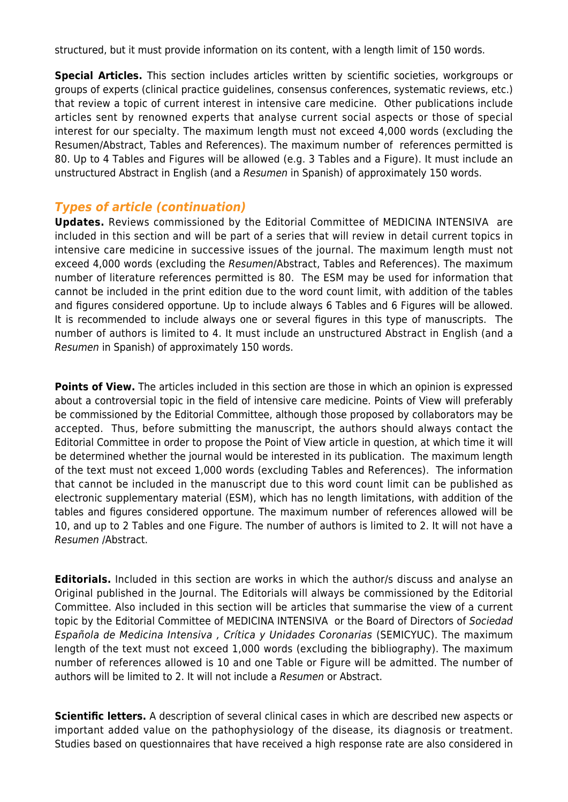structured, but it must provide information on its content, with a length limit of 150 words.

**Special Articles.** This section includes articles written by scientific societies, workgroups or groups of experts (clinical practice guidelines, consensus conferences, systematic reviews, etc.) that review a topic of current interest in intensive care medicine. Other publications include articles sent by renowned experts that analyse current social aspects or those of special interest for our specialty. The maximum length must not exceed 4,000 words (excluding the Resumen/Abstract, Tables and References). The maximum number of references permitted is 80. Up to 4 Tables and Figures will be allowed (e.g. 3 Tables and a Figure). It must include an unstructured Abstract in English (and a Resumen in Spanish) of approximately 150 words.

## *Types of article (continuation)*

**Updates.** Reviews commissioned by the Editorial Committee of MEDICINA INTENSIVA are included in this section and will be part of a series that will review in detail current topics in intensive care medicine in successive issues of the journal. The maximum length must not exceed 4,000 words (excluding the Resumen/Abstract, Tables and References). The maximum number of literature references permitted is 80. The ESM may be used for information that cannot be included in the print edition due to the word count limit, with addition of the tables and figures considered opportune. Up to include always 6 Tables and 6 Figures will be allowed. It is recommended to include always one or several figures in this type of manuscripts. The number of authors is limited to 4. It must include an unstructured Abstract in English (and a Resumen in Spanish) of approximately 150 words.

**Points of View.** The articles included in this section are those in which an opinion is expressed about a controversial topic in the field of intensive care medicine. Points of View will preferably be commissioned by the Editorial Committee, although those proposed by collaborators may be accepted. Thus, before submitting the manuscript, the authors should always contact the Editorial Committee in order to propose the Point of View article in question, at which time it will be determined whether the journal would be interested in its publication. The maximum length of the text must not exceed 1,000 words (excluding Tables and References). The information that cannot be included in the manuscript due to this word count limit can be published as electronic supplementary material (ESM), which has no length limitations, with addition of the tables and figures considered opportune. The maximum number of references allowed will be 10, and up to 2 Tables and one Figure. The number of authors is limited to 2. It will not have a Resumen /Abstract.

**Editorials.** Included in this section are works in which the author/s discuss and analyse an Original published in the Journal. The Editorials will always be commissioned by the Editorial Committee. Also included in this section will be articles that summarise the view of a current topic by the Editorial Committee of MEDICINA INTENSIVA or the Board of Directors of Sociedad Española de Medicina Intensiva , Crítica y Unidades Coronarias (SEMICYUC). The maximum length of the text must not exceed 1,000 words (excluding the bibliography). The maximum number of references allowed is 10 and one Table or Figure will be admitted. The number of authors will be limited to 2. It will not include a Resumen or Abstract.

**Scientific letters.** A description of several clinical cases in which are described new aspects or important added value on the pathophysiology of the disease, its diagnosis or treatment. Studies based on questionnaires that have received a high response rate are also considered in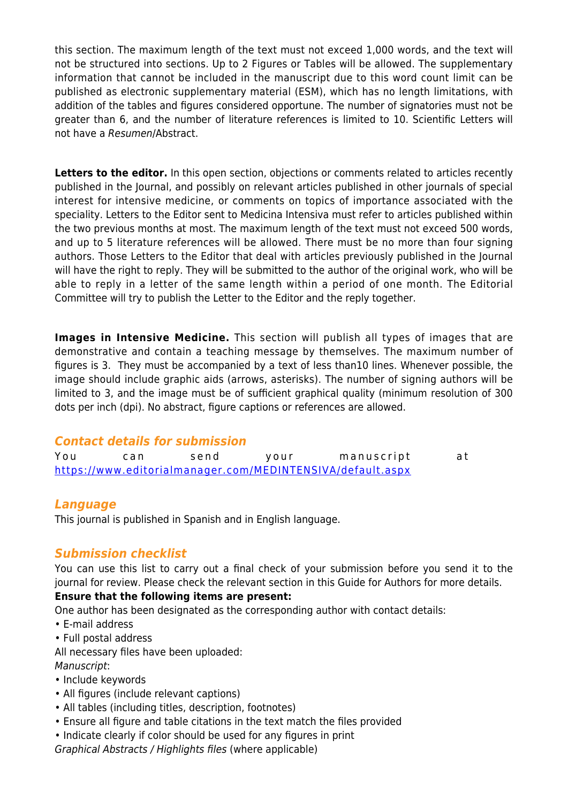this section. The maximum length of the text must not exceed 1,000 words, and the text will not be structured into sections. Up to 2 Figures or Tables will be allowed. The supplementary information that cannot be included in the manuscript due to this word count limit can be published as electronic supplementary material (ESM), which has no length limitations, with addition of the tables and figures considered opportune. The number of signatories must not be greater than 6, and the number of literature references is limited to 10. Scientific Letters will not have a Resumen/Abstract.

**Letters to the editor.** In this open section, objections or comments related to articles recently published in the Journal, and possibly on relevant articles published in other journals of special interest for intensive medicine, or comments on topics of importance associated with the speciality. Letters to the Editor sent to Medicina Intensiva must refer to articles published within the two previous months at most. The maximum length of the text must not exceed 500 words, and up to 5 literature references will be allowed. There must be no more than four signing authors. Those Letters to the Editor that deal with articles previously published in the Journal will have the right to reply. They will be submitted to the author of the original work, who will be able to reply in a letter of the same length within a period of one month. The Editorial Committee will try to publish the Letter to the Editor and the reply together.

**Images in Intensive Medicine.** This section will publish all types of images that are demonstrative and contain a teaching message by themselves. The maximum number of figures is 3. They must be accompanied by a text of less than10 lines. Whenever possible, the image should include graphic aids (arrows, asterisks). The number of signing authors will be limited to 3, and the image must be of sufficient graphical quality (minimum resolution of 300 dots per inch (dpi). No abstract, figure captions or references are allowed.

### *Contact details for submission*

| You | can | send | vour | manuscript                                                 |  |
|-----|-----|------|------|------------------------------------------------------------|--|
|     |     |      |      | https://www.editorialmanager.com/MEDINTENSIVA/default.aspx |  |

### *Language*

This journal is published in Spanish and in English language.

## *Submission checklist*

You can use this list to carry out a final check of your submission before you send it to the journal for review. Please check the relevant section in this Guide for Authors for more details.

#### **Ensure that the following items are present:**

One author has been designated as the corresponding author with contact details:

- E-mail address
- Full postal address

All necessary files have been uploaded:

Manuscript:

- Include keywords
- All figures (include relevant captions)
- All tables (including titles, description, footnotes)
- Ensure all figure and table citations in the text match the files provided
- Indicate clearly if color should be used for any figures in print

Graphical Abstracts / Highlights files (where applicable)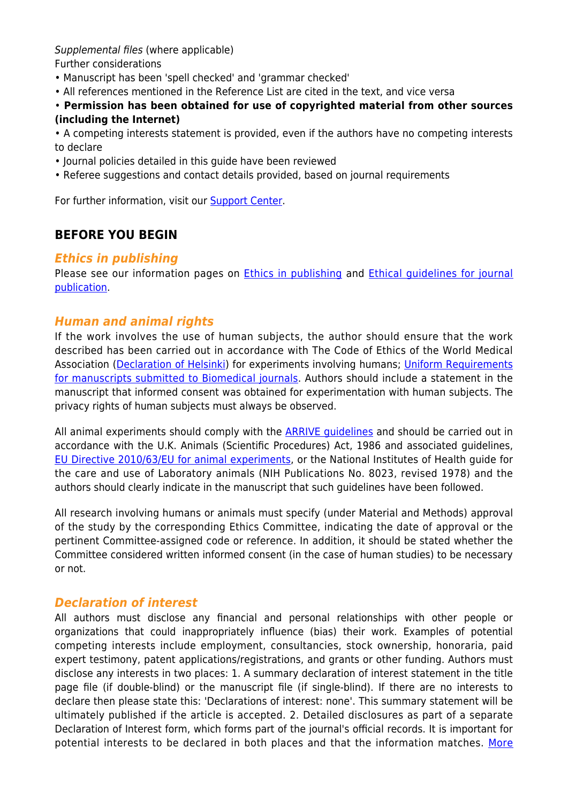Supplemental files (where applicable)

Further considerations

- Manuscript has been 'spell checked' and 'grammar checked'
- All references mentioned in the Reference List are cited in the text, and vice versa
- **Permission has been obtained for use of copyrighted material from other sources (including the Internet)**

• A competing interests statement is provided, even if the authors have no competing interests to declare

- Journal policies detailed in this guide have been reviewed
- Referee suggestions and contact details provided, based on journal requirements

For further information, visit our [Support Center.](http://service.elsevier.com/app/home/supporthub/publishing/)

## **BEFORE YOU BEGIN**

## *Ethics in publishing*

Please see our information pages on **[Ethics in publishing](https://www.elsevier.com/about/policies/publishing-ethics)** and **Ethical guidelines for journal** [publication](https://www.elsevier.com/authors/journal-authors/policies-and-ethics).

### *Human and animal rights*

If the work involves the use of human subjects, the author should ensure that the work described has been carried out in accordance with The Code of Ethics of the World Medical Association [\(Declaration of Helsinki](https://www.wma.net/policies-post/wma-declaration-of-helsinki-ethical-principles-for-medical-research-involving-human-subjects/)) for experiments involving humans; [Uniform Requirements](http://www.icmje.org) [for manuscripts submitted to Biomedical journals.](http://www.icmje.org) Authors should include a statement in the manuscript that informed consent was obtained for experimentation with human subjects. The privacy rights of human subjects must always be observed.

All animal experiments should comply with the **ARRIVE quidelines** and should be carried out in accordance with the U.K. Animals (Scientific Procedures) Act, 1986 and associated guidelines, [EU Directive 2010/63/EU for animal experiments,](http://ec.europa.eu/environment/chemicals/lab_animals/legislation_en.htm) or the National Institutes of Health guide for the care and use of Laboratory animals (NIH Publications No. 8023, revised 1978) and the authors should clearly indicate in the manuscript that such guidelines have been followed.

All research involving humans or animals must specify (under Material and Methods) approval of the study by the corresponding Ethics Committee, indicating the date of approval or the pertinent Committee-assigned code or reference. In addition, it should be stated whether the Committee considered written informed consent (in the case of human studies) to be necessary or not.

### *Declaration of interest*

All authors must disclose any financial and personal relationships with other people or organizations that could inappropriately influence (bias) their work. Examples of potential competing interests include employment, consultancies, stock ownership, honoraria, paid expert testimony, patent applications/registrations, and grants or other funding. Authors must disclose any interests in two places: 1. A summary declaration of interest statement in the title page file (if double-blind) or the manuscript file (if single-blind). If there are no interests to declare then please state this: 'Declarations of interest: none'. This summary statement will be ultimately published if the article is accepted. 2. Detailed disclosures as part of a separate Declaration of Interest form, which forms part of the journal's official records. It is important for potential interests to be declared in both places and that the information matches. [More](http://service.elsevier.com/app/answers/detail/a_id/286/supporthub/publishing)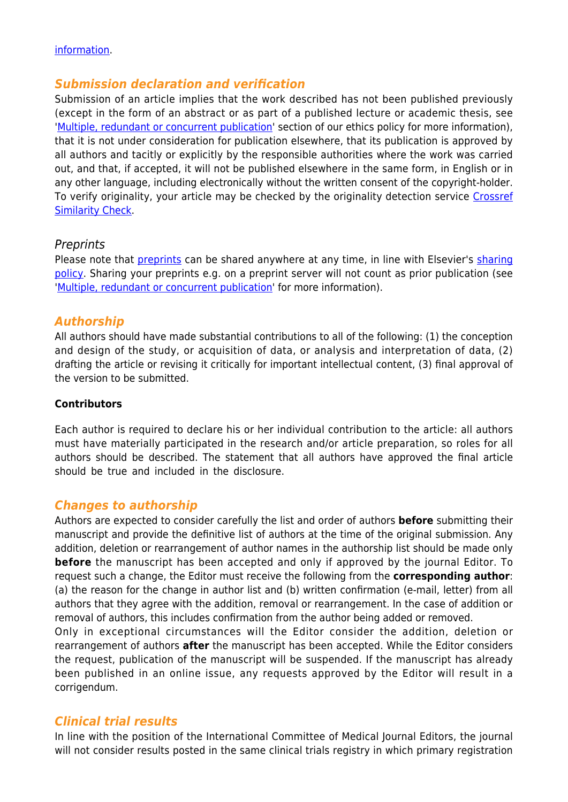## *Submission declaration and verification*

Submission of an article implies that the work described has not been published previously (except in the form of an abstract or as part of a published lecture or academic thesis, see '[Multiple, redundant or concurrent publication](http://www.elsevier.com/authors/journal-authors/policies-and-ethics)' section of our ethics policy for more information), that it is not under consideration for publication elsewhere, that its publication is approved by all authors and tacitly or explicitly by the responsible authorities where the work was carried out, and that, if accepted, it will not be published elsewhere in the same form, in English or in any other language, including electronically without the written consent of the copyright-holder. To verify originality, your article may be checked by the originality detection service [Crossref](https://www.elsevier.com/editors/perk/plagiarism-complaints/plagiarism-detection) [Similarity Check.](https://www.elsevier.com/editors/perk/plagiarism-complaints/plagiarism-detection)

### Preprints

Please note that [preprints](https://www.elsevier.com/about/policies/sharing/preprint) can be shared anywhere at any time, in line with Elsevier's [sharing](https://www.elsevier.com/about/policies/sharing) [policy](https://www.elsevier.com/about/policies/sharing). Sharing your preprints e.g. on a preprint server will not count as prior publication (see '[Multiple, redundant or concurrent publication](https://www.elsevier.com/authors/journal-authors/policies-and-ethics)' for more information).

## *Authorship*

All authors should have made substantial contributions to all of the following: (1) the conception and design of the study, or acquisition of data, or analysis and interpretation of data, (2) drafting the article or revising it critically for important intellectual content, (3) final approval of the version to be submitted.

#### **Contributors**

Each author is required to declare his or her individual contribution to the article: all authors must have materially participated in the research and/or article preparation, so roles for all authors should be described. The statement that all authors have approved the final article should be true and included in the disclosure.

### *Changes to authorship*

Authors are expected to consider carefully the list and order of authors **before** submitting their manuscript and provide the definitive list of authors at the time of the original submission. Any addition, deletion or rearrangement of author names in the authorship list should be made only **before** the manuscript has been accepted and only if approved by the journal Editor. To request such a change, the Editor must receive the following from the **corresponding author**: (a) the reason for the change in author list and (b) written confirmation (e-mail, letter) from all authors that they agree with the addition, removal or rearrangement. In the case of addition or removal of authors, this includes confirmation from the author being added or removed.

Only in exceptional circumstances will the Editor consider the addition, deletion or rearrangement of authors **after** the manuscript has been accepted. While the Editor considers the request, publication of the manuscript will be suspended. If the manuscript has already been published in an online issue, any requests approved by the Editor will result in a corrigendum.

#### *Clinical trial results*

In line with the position of the International Committee of Medical Journal Editors, the journal will not consider results posted in the same clinical trials registry in which primary registration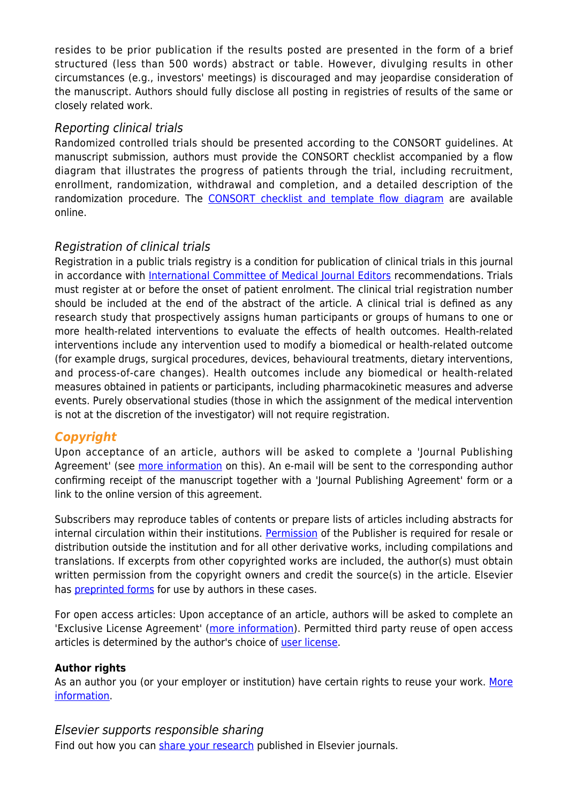resides to be prior publication if the results posted are presented in the form of a brief structured (less than 500 words) abstract or table. However, divulging results in other circumstances (e.g., investors' meetings) is discouraged and may jeopardise consideration of the manuscript. Authors should fully disclose all posting in registries of results of the same or closely related work.

## Reporting clinical trials

Randomized controlled trials should be presented according to the CONSORT guidelines. At manuscript submission, authors must provide the CONSORT checklist accompanied by a flow diagram that illustrates the progress of patients through the trial, including recruitment, enrollment, randomization, withdrawal and completion, and a detailed description of the randomization procedure. The **CONSORT** checklist and template flow diagram are available online.

## Registration of clinical trials

Registration in a public trials registry is a condition for publication of clinical trials in this journal in accordance with [International Committee of Medical Journal Editors](http://www.icmje.org) recommendations. Trials must register at or before the onset of patient enrolment. The clinical trial registration number should be included at the end of the abstract of the article. A clinical trial is defined as any research study that prospectively assigns human participants or groups of humans to one or more health-related interventions to evaluate the effects of health outcomes. Health-related interventions include any intervention used to modify a biomedical or health-related outcome (for example drugs, surgical procedures, devices, behavioural treatments, dietary interventions, and process-of-care changes). Health outcomes include any biomedical or health-related measures obtained in patients or participants, including pharmacokinetic measures and adverse events. Purely observational studies (those in which the assignment of the medical intervention is not at the discretion of the investigator) will not require registration.

## *Copyright*

Upon acceptance of an article, authors will be asked to complete a 'Journal Publishing Agreement' (see [more information](https://www.elsevier.com/about/policies/copyright) on this). An e-mail will be sent to the corresponding author confirming receipt of the manuscript together with a 'Journal Publishing Agreement' form or a link to the online version of this agreement.

Subscribers may reproduce tables of contents or prepare lists of articles including abstracts for internal circulation within their institutions. [Permission](https://www.elsevier.com/about/policies/copyright/permissions) of the Publisher is required for resale or distribution outside the institution and for all other derivative works, including compilations and translations. If excerpts from other copyrighted works are included, the author(s) must obtain written permission from the copyright owners and credit the source(s) in the article. Elsevier has [preprinted forms](http://www.elsevier.com/__data/assets/word_doc/0007/98656/Permission-Request-Form.docx) for use by authors in these cases.

For open access articles: Upon acceptance of an article, authors will be asked to complete an 'Exclusive License Agreement' ([more information\)](https://www.elsevier.com/about/policies/copyright). Permitted third party reuse of open access articles is determined by the author's choice of [user license](https://www.elsevier.com/about/policies/open-access-licenses).

### **Author rights**

As an author you (or your employer or institution) have certain rights to reuse your work. [More](https://www.elsevier.com/about/policies/copyright) [information.](https://www.elsevier.com/about/policies/copyright)

## Elsevier supports responsible sharing

Find out how you can [share your research](https://www.elsevier.com/authors/journal-authors/submit-your-paper/sharing-and-promoting-your-article) published in Elsevier journals.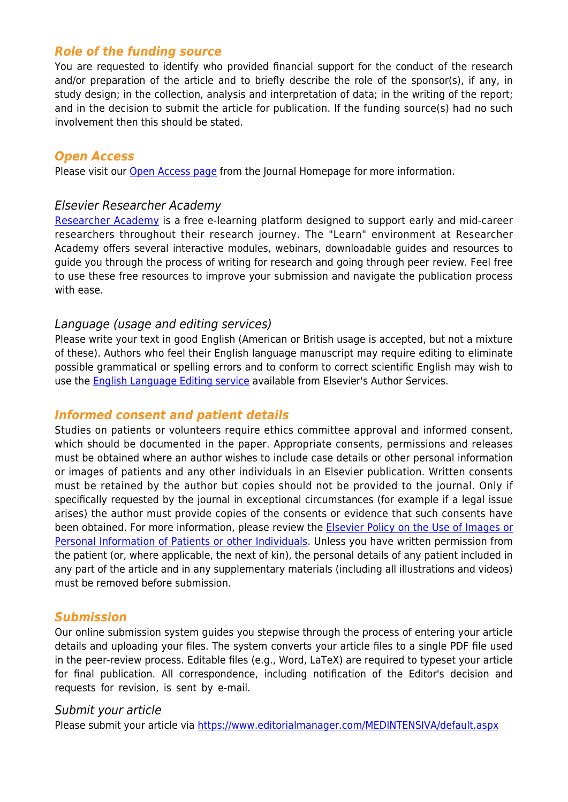#### *Role of the funding source*

You are requested to identify who provided financial support for the conduct of the research and/or preparation of the article and to briefly describe the role of the sponsor(s), if any, in study design; in the collection, analysis and interpretation of data; in the writing of the report; and in the decision to submit the article for publication. If the funding source(s) had no such involvement then this should be stated.

#### *Open Access*

Please visit our **[Open Access page](https://www.medintensiva.org/en-open-access)** from the Journal Homepage for more information.

#### Elsevier Researcher Academy

[Researcher Academy](https://researcheracademy.elsevier.com/) is a free e-learning platform designed to support early and mid-career researchers throughout their research journey. The "Learn" environment at Researcher Academy offers several interactive modules, webinars, downloadable guides and resources to guide you through the process of writing for research and going through peer review. Feel free to use these free resources to improve your submission and navigate the publication process with ease.

#### Language (usage and editing services)

Please write your text in good English (American or British usage is accepted, but not a mixture of these). Authors who feel their English language manuscript may require editing to eliminate possible grammatical or spelling errors and to conform to correct scientific English may wish to use the [English Language Editing service](http://webshop.elsevier.com/languageediting/) available from Elsevier's Author Services.

### *Informed consent and patient details*

Studies on patients or volunteers require ethics committee approval and informed consent, which should be documented in the paper. Appropriate consents, permissions and releases must be obtained where an author wishes to include case details or other personal information or images of patients and any other individuals in an Elsevier publication. Written consents must be retained by the author but copies should not be provided to the journal. Only if specifically requested by the journal in exceptional circumstances (for example if a legal issue arises) the author must provide copies of the consents or evidence that such consents have been obtained. For more information, please review the [Elsevier Policy on the Use of Images or](https://www.elsevier.com/about/policies/patient-consent) [Personal Information of Patients or other Individuals](https://www.elsevier.com/about/policies/patient-consent). Unless you have written permission from the patient (or, where applicable, the next of kin), the personal details of any patient included in any part of the article and in any supplementary materials (including all illustrations and videos) must be removed before submission.

### *Submission*

Our online submission system guides you stepwise through the process of entering your article details and uploading your files. The system converts your article files to a single PDF file used in the peer-review process. Editable files (e.g., Word, LaTeX) are required to typeset your article for final publication. All correspondence, including notification of the Editor's decision and requests for revision, is sent by e-mail.

#### Submit your article

Please submit your article via<https://www.editorialmanager.com/MEDINTENSIVA/default.aspx>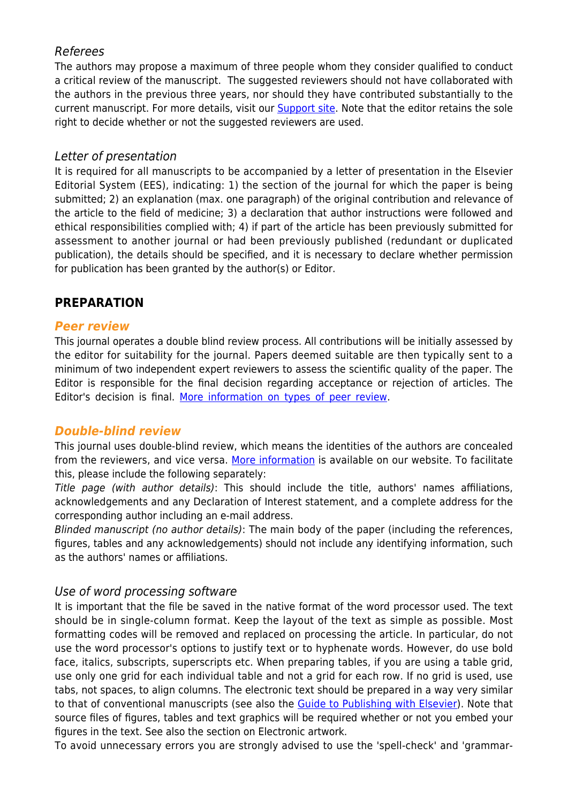## Referees

The authors may propose a maximum of three people whom they consider qualified to conduct a critical review of the manuscript. The suggested reviewers should not have collaborated with the authors in the previous three years, nor should they have contributed substantially to the current manuscript. For more details, visit our **Support site**. Note that the editor retains the sole right to decide whether or not the suggested reviewers are used.

### Letter of presentation

It is required for all manuscripts to be accompanied by a letter of presentation in the Elsevier Editorial System (EES), indicating: 1) the section of the journal for which the paper is being submitted; 2) an explanation (max. one paragraph) of the original contribution and relevance of the article to the field of medicine; 3) a declaration that author instructions were followed and ethical responsibilities complied with; 4) if part of the article has been previously submitted for assessment to another journal or had been previously published (redundant or duplicated publication), the details should be specified, and it is necessary to declare whether permission for publication has been granted by the author(s) or Editor.

## **PREPARATION**

### *Peer review*

This journal operates a double blind review process. All contributions will be initially assessed by the editor for suitability for the journal. Papers deemed suitable are then typically sent to a minimum of two independent expert reviewers to assess the scientific quality of the paper. The Editor is responsible for the final decision regarding acceptance or rejection of articles. The Editor's decision is final. [More information on types of peer review.](http://www.elsevier.com/reviewers/what-is-peer-review)

## *Double-blind review*

This journal uses double-blind review, which means the identities of the authors are concealed from the reviewers, and vice versa. [More information](http://www.elsevier.com/reviewers/what-is-peer-review) is available on our website. To facilitate this, please include the following separately:

Title page (with author details): This should include the title, authors' names affiliations, acknowledgements and any Declaration of Interest statement, and a complete address for the corresponding author including an e-mail address.

Blinded manuscript (no author details): The main body of the paper (including the references, figures, tables and any acknowledgements) should not include any identifying information, such as the authors' names or affiliations.

## Use of word processing software

It is important that the file be saved in the native format of the word processor used. The text should be in single-column format. Keep the layout of the text as simple as possible. Most formatting codes will be removed and replaced on processing the article. In particular, do not use the word processor's options to justify text or to hyphenate words. However, do use bold face, italics, subscripts, superscripts etc. When preparing tables, if you are using a table grid, use only one grid for each individual table and not a grid for each row. If no grid is used, use tabs, not spaces, to align columns. The electronic text should be prepared in a way very similar to that of conventional manuscripts (see also the [Guide to Publishing with Elsevier](https://www.elsevier.com/authors/journal-authors/submit-your-paper)). Note that source files of figures, tables and text graphics will be required whether or not you embed your figures in the text. See also the section on Electronic artwork.

To avoid unnecessary errors you are strongly advised to use the 'spell-check' and 'grammar-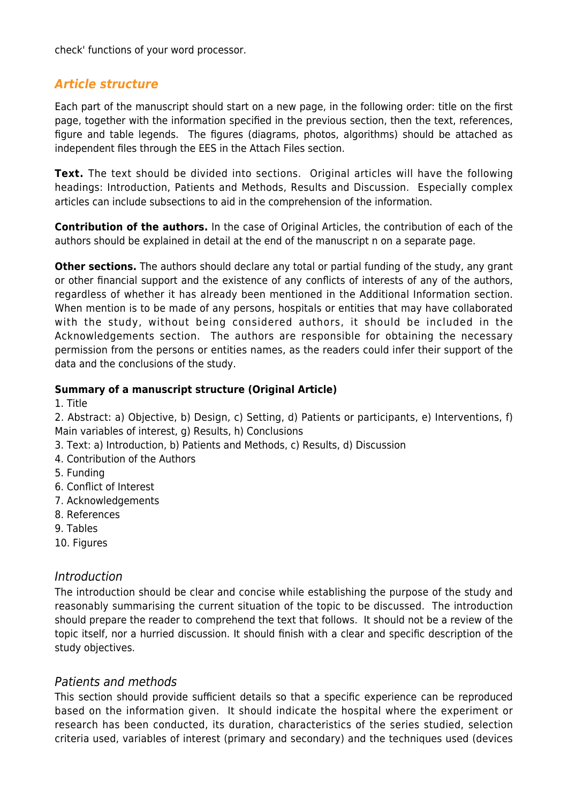check' functions of your word processor.

## *Article structure*

Each part of the manuscript should start on a new page, in the following order: title on the first page, together with the information specified in the previous section, then the text, references, figure and table legends. The figures (diagrams, photos, algorithms) should be attached as independent files through the EES in the Attach Files section.

**Text.** The text should be divided into sections. Original articles will have the following headings: Introduction, Patients and Methods, Results and Discussion. Especially complex articles can include subsections to aid in the comprehension of the information.

**Contribution of the authors.** In the case of Original Articles, the contribution of each of the authors should be explained in detail at the end of the manuscript n on a separate page.

**Other sections.** The authors should declare any total or partial funding of the study, any grant or other financial support and the existence of any conflicts of interests of any of the authors, regardless of whether it has already been mentioned in the Additional Information section. When mention is to be made of any persons, hospitals or entities that may have collaborated with the study, without being considered authors, it should be included in the Acknowledgements section. The authors are responsible for obtaining the necessary permission from the persons or entities names, as the readers could infer their support of the data and the conclusions of the study.

#### **Summary of a manuscript structure (Original Article)**

1. Title

2. Abstract: a) Objective, b) Design, c) Setting, d) Patients or participants, e) Interventions, f) Main variables of interest, g) Results, h) Conclusions

3. Text: a) Introduction, b) Patients and Methods, c) Results, d) Discussion

- 4. Contribution of the Authors
- 5. Funding
- 6. Conflict of Interest
- 7. Acknowledgements
- 8. References
- 9. Tables
- 10. Figures

### Introduction

The introduction should be clear and concise while establishing the purpose of the study and reasonably summarising the current situation of the topic to be discussed. The introduction should prepare the reader to comprehend the text that follows. It should not be a review of the topic itself, nor a hurried discussion. It should finish with a clear and specific description of the study objectives.

### Patients and methods

This section should provide sufficient details so that a specific experience can be reproduced based on the information given. It should indicate the hospital where the experiment or research has been conducted, its duration, characteristics of the series studied, selection criteria used, variables of interest (primary and secondary) and the techniques used (devices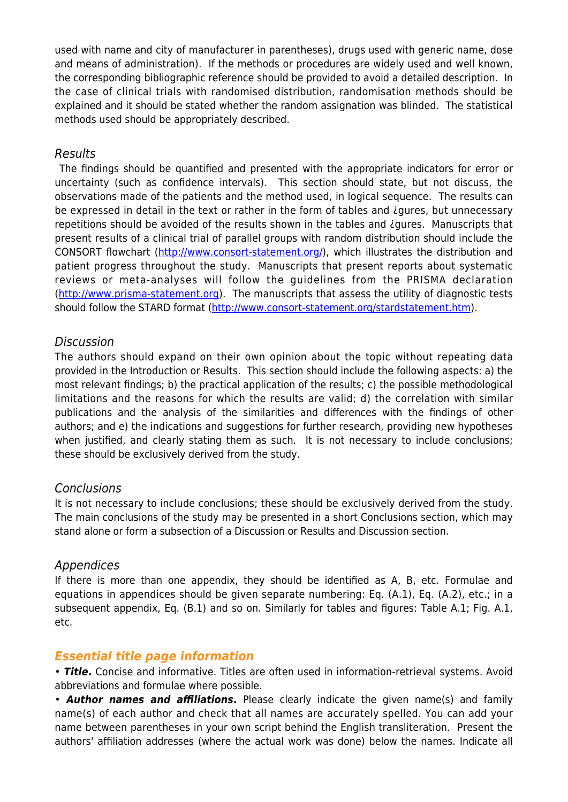used with name and city of manufacturer in parentheses), drugs used with generic name, dose and means of administration). If the methods or procedures are widely used and well known, the corresponding bibliographic reference should be provided to avoid a detailed description. In the case of clinical trials with randomised distribution, randomisation methods should be explained and it should be stated whether the random assignation was blinded. The statistical methods used should be appropriately described.

#### Results

 The findings should be quantified and presented with the appropriate indicators for error or uncertainty (such as confidence intervals). This section should state, but not discuss, the observations made of the patients and the method used, in logical sequence. The results can be expressed in detail in the text or rather in the form of tables and ¿gures, but unnecessary repetitions should be avoided of the results shown in the tables and ¿gures. Manuscripts that present results of a clinical trial of parallel groups with random distribution should include the CONSORT flowchart [\(http://www.consort-statement.org/](http://www.consort-statement.org/)), which illustrates the distribution and patient progress throughout the study. Manuscripts that present reports about systematic reviews or meta-analyses will follow the guidelines from the PRISMA declaration [\(http://www.prisma-statement.org\)](http://www.prisma-statement.org). The manuscripts that assess the utility of diagnostic tests should follow the STARD format [\(http://www.consort-statement.org/stardstatement.htm\)](http://www.consort-statement.org/stardstatement.htm).

#### Discussion

The authors should expand on their own opinion about the topic without repeating data provided in the Introduction or Results. This section should include the following aspects: a) the most relevant findings; b) the practical application of the results; c) the possible methodological limitations and the reasons for which the results are valid; d) the correlation with similar publications and the analysis of the similarities and differences with the findings of other authors; and e) the indications and suggestions for further research, providing new hypotheses when justified, and clearly stating them as such. It is not necessary to include conclusions; these should be exclusively derived from the study.

### **Conclusions**

It is not necessary to include conclusions; these should be exclusively derived from the study. The main conclusions of the study may be presented in a short Conclusions section, which may stand alone or form a subsection of a Discussion or Results and Discussion section.

### Appendices

If there is more than one appendix, they should be identified as A, B, etc. Formulae and equations in appendices should be given separate numbering: Eq. (A.1), Eq. (A.2), etc.; in a subsequent appendix, Eq. (B.1) and so on. Similarly for tables and figures: Table A.1; Fig. A.1, etc.

### *Essential title page information*

• *Title***.** Concise and informative. Titles are often used in information-retrieval systems. Avoid abbreviations and formulae where possible.

• *Author names and affiliations***.** Please clearly indicate the given name(s) and family name(s) of each author and check that all names are accurately spelled. You can add your name between parentheses in your own script behind the English transliteration. Present the authors' affiliation addresses (where the actual work was done) below the names. Indicate all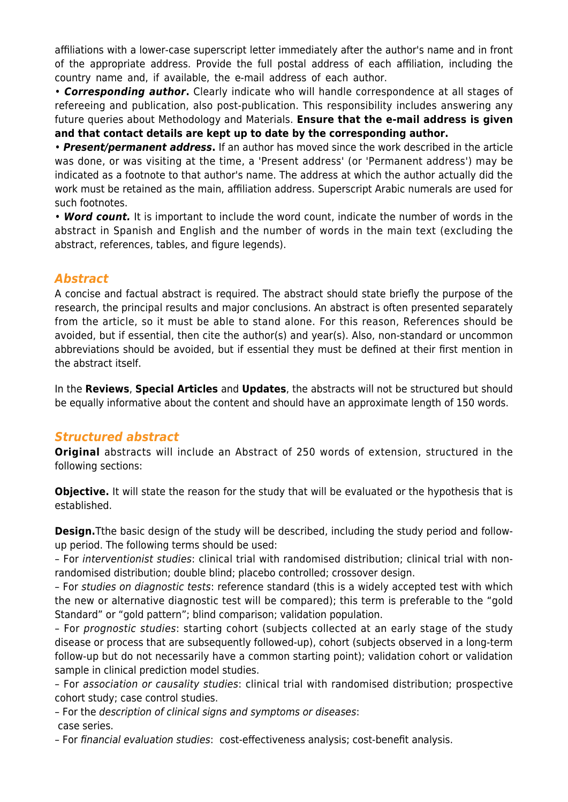affiliations with a lower-case superscript letter immediately after the author's name and in front of the appropriate address. Provide the full postal address of each affiliation, including the country name and, if available, the e-mail address of each author.

• *Corresponding author***.** Clearly indicate who will handle correspondence at all stages of refereeing and publication, also post-publication. This responsibility includes answering any future queries about Methodology and Materials. **Ensure that the e-mail address is given and that contact details are kept up to date by the corresponding author.**

• *Present/permanent address***.** If an author has moved since the work described in the article was done, or was visiting at the time, a 'Present address' (or 'Permanent address') may be indicated as a footnote to that author's name. The address at which the author actually did the work must be retained as the main, affiliation address. Superscript Arabic numerals are used for such footnotes.

• *Word count.* It is important to include the word count, indicate the number of words in the abstract in Spanish and English and the number of words in the main text (excluding the abstract, references, tables, and figure legends).

## *Abstract*

A concise and factual abstract is required. The abstract should state briefly the purpose of the research, the principal results and major conclusions. An abstract is often presented separately from the article, so it must be able to stand alone. For this reason, References should be avoided, but if essential, then cite the author(s) and year(s). Also, non-standard or uncommon abbreviations should be avoided, but if essential they must be defined at their first mention in the abstract itself.

In the **Reviews**, **Special Articles** and **Updates**, the abstracts will not be structured but should be equally informative about the content and should have an approximate length of 150 words.

### *Structured abstract*

**Original** abstracts will include an Abstract of 250 words of extension, structured in the following sections:

**Objective.** It will state the reason for the study that will be evaluated or the hypothesis that is established.

**Design.**Tthe basic design of the study will be described, including the study period and followup period. The following terms should be used:

– For interventionist studies: clinical trial with randomised distribution; clinical trial with nonrandomised distribution; double blind; placebo controlled; crossover design.

– For studies on diagnostic tests: reference standard (this is a widely accepted test with which the new or alternative diagnostic test will be compared); this term is preferable to the "gold Standard" or "gold pattern"; blind comparison; validation population.

– For prognostic studies: starting cohort (subjects collected at an early stage of the study disease or process that are subsequently followed-up), cohort (subjects observed in a long-term follow-up but do not necessarily have a common starting point); validation cohort or validation sample in clinical prediction model studies.

– For association or causality studies: clinical trial with randomised distribution; prospective cohort study; case control studies.

– For the description of clinical signs and symptoms or diseases: case series.

– For financial evaluation studies: cost-effectiveness analysis; cost-benefit analysis.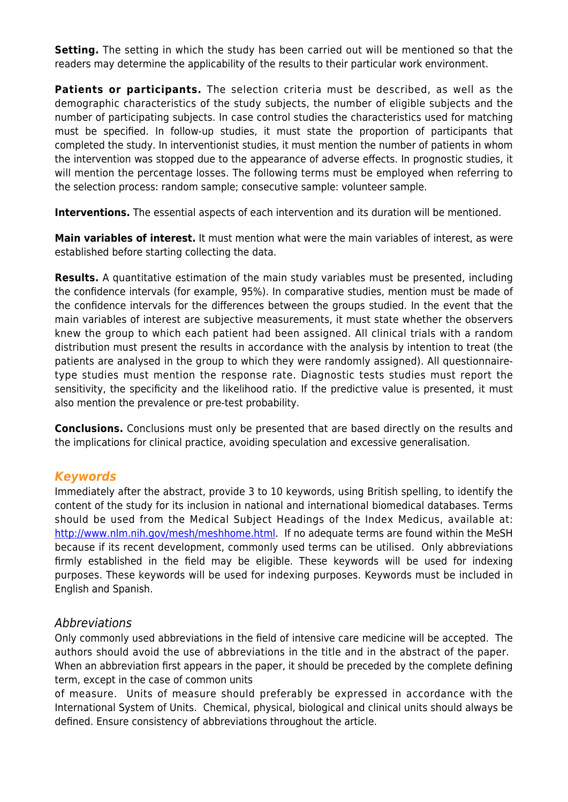**Setting.** The setting in which the study has been carried out will be mentioned so that the readers may determine the applicability of the results to their particular work environment.

**Patients or participants.** The selection criteria must be described, as well as the demographic characteristics of the study subjects, the number of eligible subjects and the number of participating subjects. In case control studies the characteristics used for matching must be specified. In follow-up studies, it must state the proportion of participants that completed the study. In interventionist studies, it must mention the number of patients in whom the intervention was stopped due to the appearance of adverse effects. In prognostic studies, it will mention the percentage losses. The following terms must be employed when referring to the selection process: random sample; consecutive sample: volunteer sample.

**Interventions.** The essential aspects of each intervention and its duration will be mentioned.

**Main variables of interest.** It must mention what were the main variables of interest, as were established before starting collecting the data.

**Results.** A quantitative estimation of the main study variables must be presented, including the confidence intervals (for example, 95%). In comparative studies, mention must be made of the confidence intervals for the differences between the groups studied. In the event that the main variables of interest are subjective measurements, it must state whether the observers knew the group to which each patient had been assigned. All clinical trials with a random distribution must present the results in accordance with the analysis by intention to treat (the patients are analysed in the group to which they were randomly assigned). All questionnairetype studies must mention the response rate. Diagnostic tests studies must report the sensitivity, the specificity and the likelihood ratio. If the predictive value is presented, it must also mention the prevalence or pre-test probability.

**Conclusions.** Conclusions must only be presented that are based directly on the results and the implications for clinical practice, avoiding speculation and excessive generalisation.

## *Keywords*

Immediately after the abstract, provide 3 to 10 keywords, using British spelling, to identify the content of the study for its inclusion in national and international biomedical databases. Terms should be used from the Medical Subject Headings of the Index Medicus, available at: [http://www.nlm.nih.gov/mesh/meshhome.html.](http://www.nlm.nih.gov/mesh/meshhome.html) If no adequate terms are found within the MeSH because if its recent development, commonly used terms can be utilised. Only abbreviations firmly established in the field may be eligible. These keywords will be used for indexing purposes. These keywords will be used for indexing purposes. Keywords must be included in English and Spanish.

### Abbreviations

Only commonly used abbreviations in the field of intensive care medicine will be accepted. The authors should avoid the use of abbreviations in the title and in the abstract of the paper. When an abbreviation first appears in the paper, it should be preceded by the complete defining term, except in the case of common units

of measure. Units of measure should preferably be expressed in accordance with the International System of Units. Chemical, physical, biological and clinical units should always be defined. Ensure consistency of abbreviations throughout the article.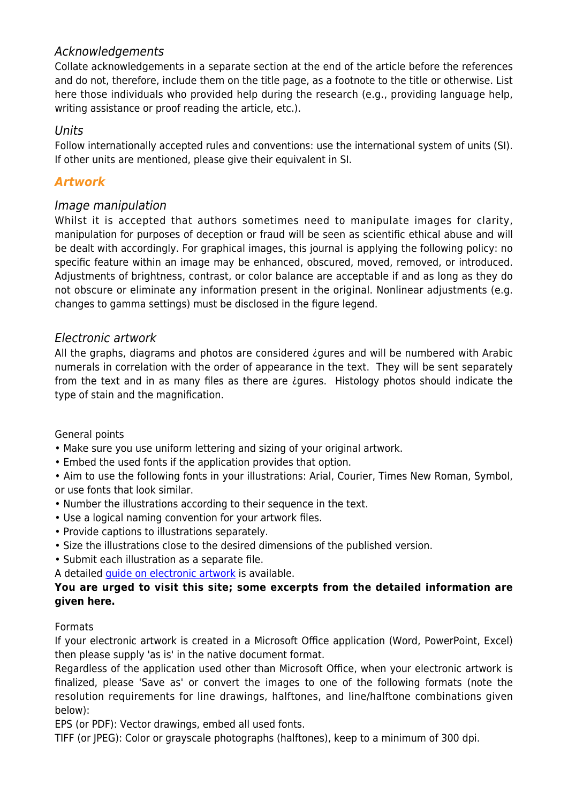## Acknowledgements

Collate acknowledgements in a separate section at the end of the article before the references and do not, therefore, include them on the title page, as a footnote to the title or otherwise. List here those individuals who provided help during the research (e.g., providing language help, writing assistance or proof reading the article, etc.).

### Units

Follow internationally accepted rules and conventions: use the international system of units (SI). If other units are mentioned, please give their equivalent in SI.

## *Artwork*

### Image manipulation

Whilst it is accepted that authors sometimes need to manipulate images for clarity, manipulation for purposes of deception or fraud will be seen as scientific ethical abuse and will be dealt with accordingly. For graphical images, this journal is applying the following policy: no specific feature within an image may be enhanced, obscured, moved, removed, or introduced. Adjustments of brightness, contrast, or color balance are acceptable if and as long as they do not obscure or eliminate any information present in the original. Nonlinear adjustments (e.g. changes to gamma settings) must be disclosed in the figure legend.

### Electronic artwork

All the graphs, diagrams and photos are considered ¿gures and will be numbered with Arabic numerals in correlation with the order of appearance in the text. They will be sent separately from the text and in as many files as there are ¿gures. Histology photos should indicate the type of stain and the magnification.

#### General points

- Make sure you use uniform lettering and sizing of your original artwork.
- Embed the used fonts if the application provides that option.
- Aim to use the following fonts in your illustrations: Arial, Courier, Times New Roman, Symbol, or use fonts that look similar.
- Number the illustrations according to their sequence in the text.
- Use a logical naming convention for your artwork files.
- Provide captions to illustrations separately.
- Size the illustrations close to the desired dimensions of the published version.
- Submit each illustration as a separate file.

A detailed *[guide on electronic artwork](http://www.elsevier.com/artworkinstructions)* is available.

#### **You are urged to visit this site; some excerpts from the detailed information are given here.**

#### Formats

If your electronic artwork is created in a Microsoft Office application (Word, PowerPoint, Excel) then please supply 'as is' in the native document format.

Regardless of the application used other than Microsoft Office, when your electronic artwork is finalized, please 'Save as' or convert the images to one of the following formats (note the resolution requirements for line drawings, halftones, and line/halftone combinations given below):

EPS (or PDF): Vector drawings, embed all used fonts.

TIFF (or JPEG): Color or grayscale photographs (halftones), keep to a minimum of 300 dpi.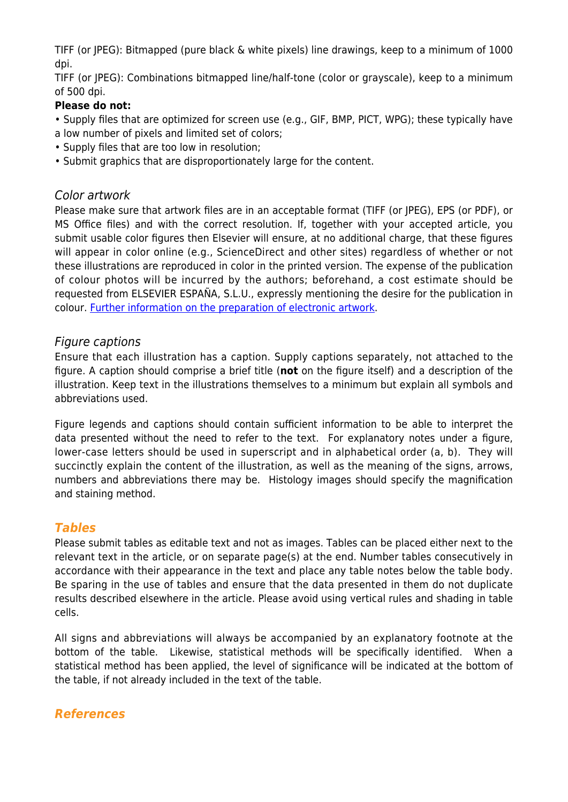TIFF (or JPEG): Bitmapped (pure black & white pixels) line drawings, keep to a minimum of 1000 dpi.

TIFF (or JPEG): Combinations bitmapped line/half-tone (color or grayscale), keep to a minimum of 500 dpi.

#### **Please do not:**

- Supply files that are optimized for screen use (e.g., GIF, BMP, PICT, WPG); these typically have a low number of pixels and limited set of colors;
- Supply files that are too low in resolution;
- Submit graphics that are disproportionately large for the content.

### Color artwork

Please make sure that artwork files are in an acceptable format (TIFF (or JPEG), EPS (or PDF), or MS Office files) and with the correct resolution. If, together with your accepted article, you submit usable color figures then Elsevier will ensure, at no additional charge, that these figures will appear in color online (e.g., ScienceDirect and other sites) regardless of whether or not these illustrations are reproduced in color in the printed version. The expense of the publication of colour photos will be incurred by the authors; beforehand, a cost estimate should be requested from ELSEVIER ESPAÑA, S.L.U., expressly mentioning the desire for the publication in colour. [Further information on the preparation of electronic artwork.](http://www.elsevier.com/artworkinstructions)

### Figure captions

Ensure that each illustration has a caption. Supply captions separately, not attached to the figure. A caption should comprise a brief title (**not** on the figure itself) and a description of the illustration. Keep text in the illustrations themselves to a minimum but explain all symbols and abbreviations used.

Figure legends and captions should contain sufficient information to be able to interpret the data presented without the need to refer to the text. For explanatory notes under a figure, lower-case letters should be used in superscript and in alphabetical order (a, b). They will succinctly explain the content of the illustration, as well as the meaning of the signs, arrows, numbers and abbreviations there may be. Histology images should specify the magnification and staining method.

### *Tables*

Please submit tables as editable text and not as images. Tables can be placed either next to the relevant text in the article, or on separate page(s) at the end. Number tables consecutively in accordance with their appearance in the text and place any table notes below the table body. Be sparing in the use of tables and ensure that the data presented in them do not duplicate results described elsewhere in the article. Please avoid using vertical rules and shading in table cells.

All signs and abbreviations will always be accompanied by an explanatory footnote at the bottom of the table. Likewise, statistical methods will be specifically identified. When a statistical method has been applied, the level of significance will be indicated at the bottom of the table, if not already included in the text of the table.

## *References*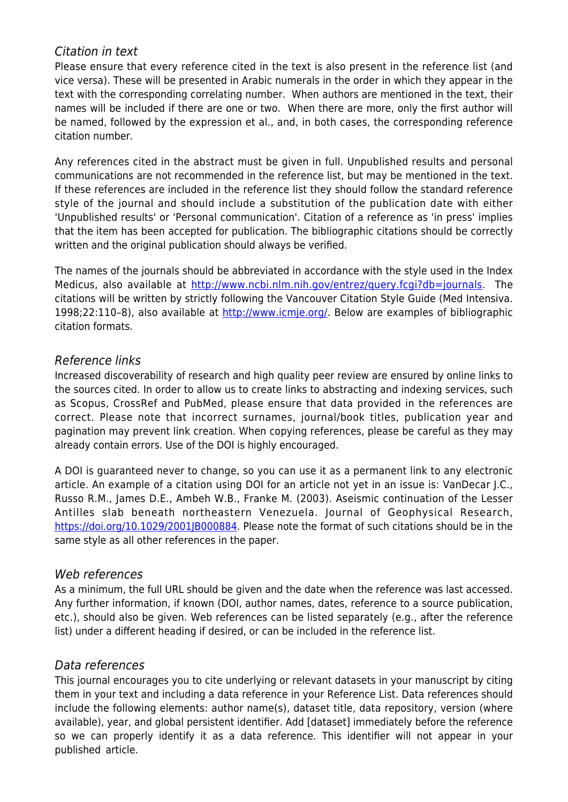## Citation in text

Please ensure that every reference cited in the text is also present in the reference list (and vice versa). These will be presented in Arabic numerals in the order in which they appear in the text with the corresponding correlating number. When authors are mentioned in the text, their names will be included if there are one or two. When there are more, only the first author will be named, followed by the expression et al., and, in both cases, the corresponding reference citation number.

Any references cited in the abstract must be given in full. Unpublished results and personal communications are not recommended in the reference list, but may be mentioned in the text. If these references are included in the reference list they should follow the standard reference style of the journal and should include a substitution of the publication date with either 'Unpublished results' or 'Personal communication'. Citation of a reference as 'in press' implies that the item has been accepted for publication. The bibliographic citations should be correctly written and the original publication should always be verified.

The names of the journals should be abbreviated in accordance with the style used in the Index Medicus, also available at [http://www.ncbi.nlm.nih.gov/entrez/query.fcgi?db=journals.](http://www.ncbi.nlm.nih.gov/entrez/query.fcgi?db=journals) The citations will be written by strictly following the Vancouver Citation Style Guide (Med Intensiva. 1998;22:110-8), also available at [http://www.icmje.org/](http://www.icmje.org). Below are examples of bibliographic citation formats.

### Reference links

Increased discoverability of research and high quality peer review are ensured by online links to the sources cited. In order to allow us to create links to abstracting and indexing services, such as Scopus, CrossRef and PubMed, please ensure that data provided in the references are correct. Please note that incorrect surnames, journal/book titles, publication year and pagination may prevent link creation. When copying references, please be careful as they may already contain errors. Use of the DOI is highly encouraged.

A DOI is guaranteed never to change, so you can use it as a permanent link to any electronic article. An example of a citation using DOI for an article not yet in an issue is: VanDecar J.C., Russo R.M., James D.E., Ambeh W.B., Franke M. (2003). Aseismic continuation of the Lesser Antilles slab beneath northeastern Venezuela. Journal of Geophysical Research, [https://doi.org/10.1029/2001JB000884.](https://doi.org/10.1029/2001JB000884) Please note the format of such citations should be in the same style as all other references in the paper.

### Web references

As a minimum, the full URL should be given and the date when the reference was last accessed. Any further information, if known (DOI, author names, dates, reference to a source publication, etc.), should also be given. Web references can be listed separately (e.g., after the reference list) under a different heading if desired, or can be included in the reference list.

### Data references

This journal encourages you to cite underlying or relevant datasets in your manuscript by citing them in your text and including a data reference in your Reference List. Data references should include the following elements: author name(s), dataset title, data repository, version (where available), year, and global persistent identifier. Add [dataset] immediately before the reference so we can properly identify it as a data reference. This identifier will not appear in your published article.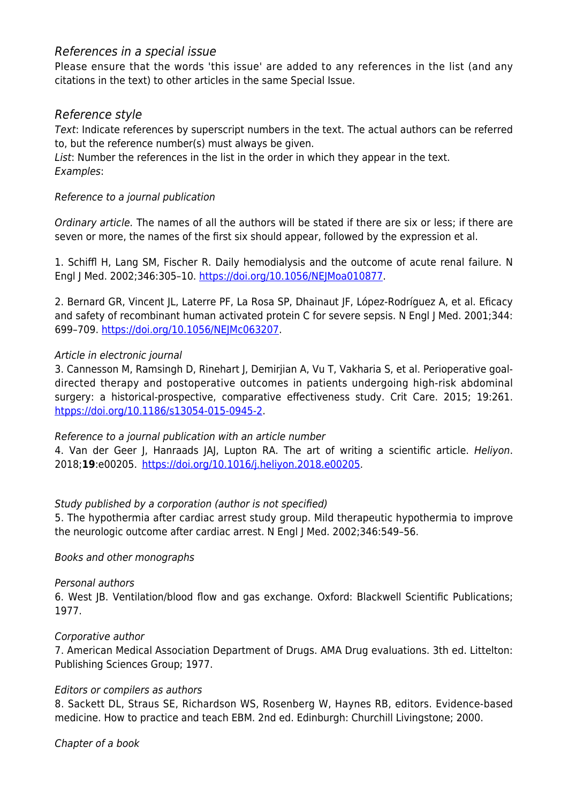### References in a special issue

Please ensure that the words 'this issue' are added to any references in the list (and any citations in the text) to other articles in the same Special Issue.

### Reference style

Text: Indicate references by superscript numbers in the text. The actual authors can be referred to, but the reference number(s) must always be given.

List: Number the references in the list in the order in which they appear in the text. Examples:

#### Reference to a journal publication

Ordinary article. The names of all the authors will be stated if there are six or less; if there are seven or more, the names of the first six should appear, followed by the expression et al.

1. Schiffl H, Lang SM, Fischer R. Daily hemodialysis and the outcome of acute renal failure. N Engl J Med. 2002;346:305–10. [https://doi.org/10.1056/NEJMoa010877.](https://doi.org/10.1056/NEJMoa010877)

2. Bernard GR, Vincent JL, Laterre PF, La Rosa SP, Dhainaut JF, López-Rodríguez A, et al. Eficacy and safety of recombinant human activated protein C for severe sepsis. N Engl J Med. 2001;344: 699–709. [https://doi.org/10.1056/NEJMc063207](http://newadmin.elsevier.es/10.1056/NEJMc063207).

#### Article in electronic journal

3. Cannesson M, Ramsingh D, Rinehart J, Demirjian A, Vu T, Vakharia S, et al. Perioperative goaldirected therapy and postoperative outcomes in patients undergoing high-risk abdominal surgery: a historical-prospective, comparative effectiveness study. Crit Care. 2015; 19:261. <htpps://doi.org/10.1186/s13054-015-0945-2>.

#### Reference to a journal publication with an article number

4. Van der Geer J, Hanraads JAJ, Lupton RA. The art of writing a scientific article. *Heliyon*. 2018;**19**:e00205. [https://doi.org/10.1016/j.heliyon.2018.e00205.](https://doi.org/10.1016/j.heliyon.2018.e00205)

#### Study published by a corporation (author is not specified)

5. The hypothermia after cardiac arrest study group. Mild therapeutic hypothermia to improve the neurologic outcome after cardiac arrest. N Engl J Med. 2002;346:549–56.

#### Books and other monographs

#### Personal authors

6. West JB. Ventilation/blood flow and gas exchange. Oxford: Blackwell Scientific Publications; 1977.

#### Corporative author

7. American Medical Association Department of Drugs. AMA Drug evaluations. 3th ed. Littelton: Publishing Sciences Group; 1977.

#### Editors or compilers as authors

8. Sackett DL, Straus SE, Richardson WS, Rosenberg W, Haynes RB, editors. Evidence-based medicine. How to practice and teach EBM. 2nd ed. Edinburgh: Churchill Livingstone; 2000.

Chapter of a book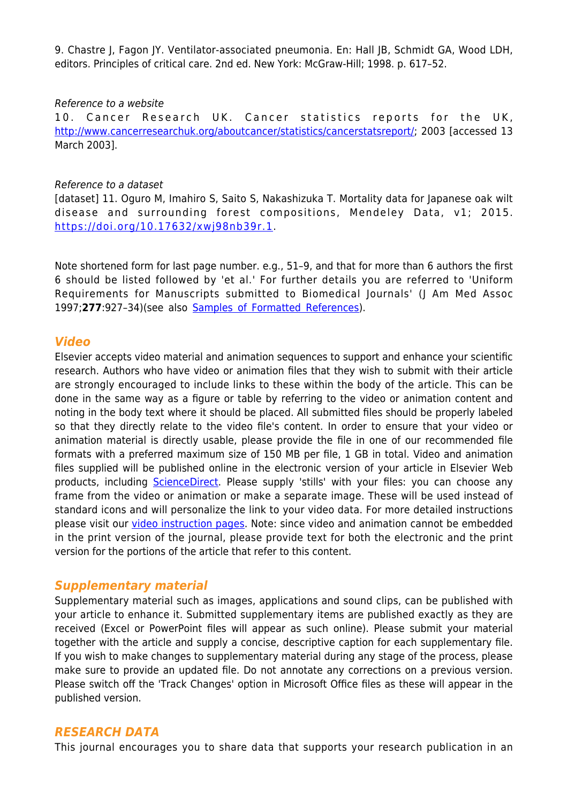9. Chastre J, Fagon JY. Ventilator-associated pneumonia. En: Hall JB, Schmidt GA, Wood LDH, editors. Principles of critical care. 2nd ed. New York: McGraw-Hill; 1998. p. 617–52.

#### Reference to a website

10. Cancer Research UK. Cancer statistics reports for the UK, <http://www.cancerresearchuk.org/aboutcancer/statistics/cancerstatsreport/>; 2003 [accessed 13 March 2003].

#### Reference to a dataset

[dataset] 11. Oguro M, Imahiro S, Saito S, Nakashizuka T. Mortality data for Japanese oak wilt disease and surrounding forest compositions, Mendeley Data, v1; 2015. <https://doi.org/10.17632/xwj98nb39r.1>.

Note shortened form for last page number. e.g., 51–9, and that for more than 6 authors the first 6 should be listed followed by 'et al.' For further details you are referred to 'Uniform Requirements for Manuscripts submitted to Biomedical Journals' (J Am Med Assoc 1997;**277**:927–34)(see also [Samples of Formatted References](http://www.nlm.nih.gov/bsd/uniform_requirements.html)).

#### *Video*

Elsevier accepts video material and animation sequences to support and enhance your scientific research. Authors who have video or animation files that they wish to submit with their article are strongly encouraged to include links to these within the body of the article. This can be done in the same way as a figure or table by referring to the video or animation content and noting in the body text where it should be placed. All submitted files should be properly labeled so that they directly relate to the video file's content. In order to ensure that your video or animation material is directly usable, please provide the file in one of our recommended file formats with a preferred maximum size of 150 MB per file, 1 GB in total. Video and animation files supplied will be published online in the electronic version of your article in Elsevier Web products, including **ScienceDirect**. Please supply 'stills' with your files: you can choose any frame from the video or animation or make a separate image. These will be used instead of standard icons and will personalize the link to your video data. For more detailed instructions please visit our [video instruction pages](https://www.elsevier.com/authors/author-schemas/artwork-and-media-instructions). Note: since video and animation cannot be embedded in the print version of the journal, please provide text for both the electronic and the print version for the portions of the article that refer to this content.

### *Supplementary material*

Supplementary material such as images, applications and sound clips, can be published with your article to enhance it. Submitted supplementary items are published exactly as they are received (Excel or PowerPoint files will appear as such online). Please submit your material together with the article and supply a concise, descriptive caption for each supplementary file. If you wish to make changes to supplementary material during any stage of the process, please make sure to provide an updated file. Do not annotate any corrections on a previous version. Please switch off the 'Track Changes' option in Microsoft Office files as these will appear in the published version.

#### *RESEARCH DATA*

This journal encourages you to share data that supports your research publication in an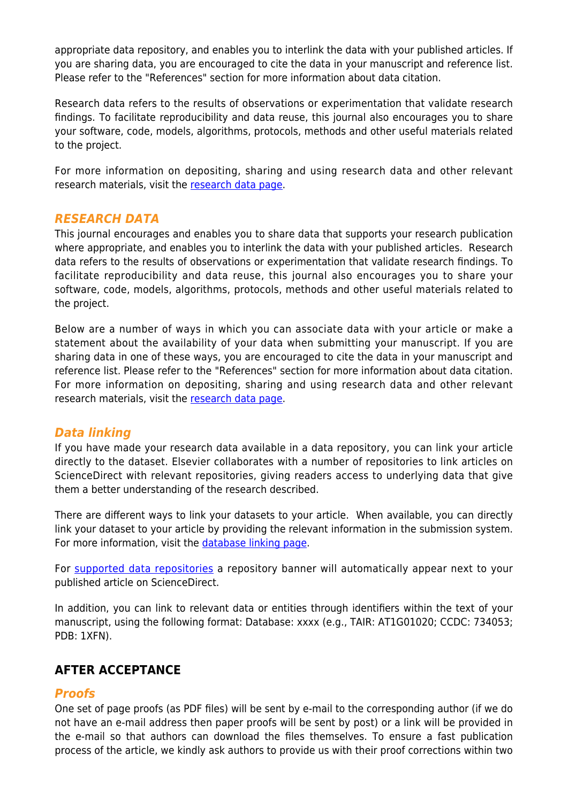appropriate data repository, and enables you to interlink the data with your published articles. If you are sharing data, you are encouraged to cite the data in your manuscript and reference list. Please refer to the "References" section for more information about data citation.

Research data refers to the results of observations or experimentation that validate research findings. To facilitate reproducibility and data reuse, this journal also encourages you to share your software, code, models, algorithms, protocols, methods and other useful materials related to the project.

For more information on depositing, sharing and using research data and other relevant research materials, visit the [research data page](https://www.elsevier.com/authors/author-resources/research-data).

#### *RESEARCH DATA*

This journal encourages and enables you to share data that supports your research publication where appropriate, and enables you to interlink the data with your published articles. Research data refers to the results of observations or experimentation that validate research findings. To facilitate reproducibility and data reuse, this journal also encourages you to share your software, code, models, algorithms, protocols, methods and other useful materials related to the project.

Below are a number of ways in which you can associate data with your article or make a statement about the availability of your data when submitting your manuscript. If you are sharing data in one of these ways, you are encouraged to cite the data in your manuscript and reference list. Please refer to the "References" section for more information about data citation. For more information on depositing, sharing and using research data and other relevant research materials, visit the [research data page](https://www.elsevier.com/authors/author-resources/research-data).

### *Data linking*

If you have made your research data available in a data repository, you can link your article directly to the dataset. Elsevier collaborates with a number of repositories to link articles on ScienceDirect with relevant repositories, giving readers access to underlying data that give them a better understanding of the research described.

There are different ways to link your datasets to your article. When available, you can directly link your dataset to your article by providing the relevant information in the submission system. For more information, visit the [database linking page.](https://www.elsevier.com/authors/author-resources/research-data/data-base-linking)

For [supported data repositories](https://www.elsevier.com/authors/author-resources/research-data/data-base-linking#repositories) a repository banner will automatically appear next to your published article on ScienceDirect.

In addition, you can link to relevant data or entities through identifiers within the text of your manuscript, using the following format: Database: xxxx (e.g., TAIR: AT1G01020; CCDC: 734053; PDB: 1XFN).

## **AFTER ACCEPTANCE**

### *Proofs*

One set of page proofs (as PDF files) will be sent by e-mail to the corresponding author (if we do not have an e-mail address then paper proofs will be sent by post) or a link will be provided in the e-mail so that authors can download the files themselves. To ensure a fast publication process of the article, we kindly ask authors to provide us with their proof corrections within two